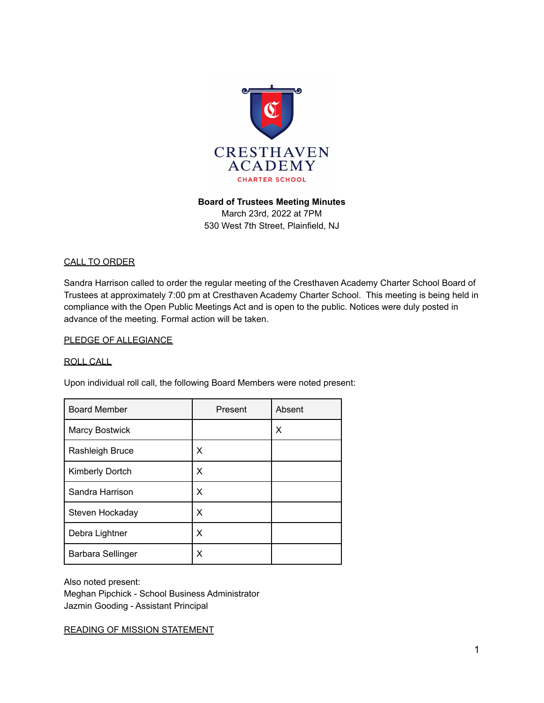

# **Board of Trustees Meeting Minutes**

March 23rd, 2022 at 7PM 530 West 7th Street, Plainfield, NJ

#### CALL TO ORDER

Sandra Harrison called to order the regular meeting of the Cresthaven Academy Charter School Board of Trustees at approximately 7:00 pm at Cresthaven Academy Charter School. This meeting is being held in compliance with the Open Public Meetings Act and is open to the public. Notices were duly posted in advance of the meeting. Formal action will be taken.

#### PLEDGE OF ALLEGIANCE

#### ROLL CALL

Upon individual roll call, the following Board Members were noted present:

| <b>Board Member</b>    | Present | Absent |
|------------------------|---------|--------|
| <b>Marcy Bostwick</b>  |         | X      |
| Rashleigh Bruce        | X       |        |
| <b>Kimberly Dortch</b> | X       |        |
| Sandra Harrison        | X       |        |
| Steven Hockaday        | X       |        |
| Debra Lightner         | X       |        |
| Barbara Sellinger      | х       |        |

Also noted present: Meghan Pipchick - School Business Administrator Jazmin Gooding - Assistant Principal

READING OF MISSION STATEMENT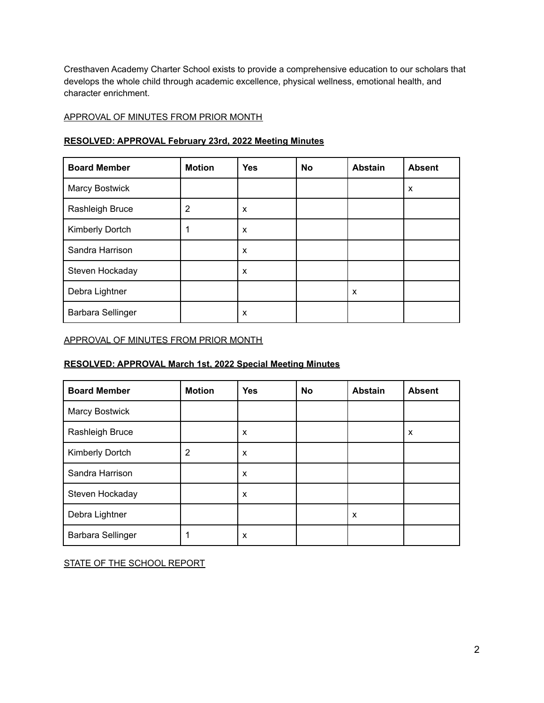Cresthaven Academy Charter School exists to provide a comprehensive education to our scholars that develops the whole child through academic excellence, physical wellness, emotional health, and character enrichment.

### APPROVAL OF MINUTES FROM PRIOR MONTH

# **RESOLVED: APPROVAL February 23rd, 2022 Meeting Minutes**

| <b>Board Member</b>   | <b>Motion</b> | <b>Yes</b> | <b>No</b> | <b>Abstain</b> | <b>Absent</b> |
|-----------------------|---------------|------------|-----------|----------------|---------------|
| <b>Marcy Bostwick</b> |               |            |           |                | X             |
| Rashleigh Bruce       | 2             | X          |           |                |               |
| Kimberly Dortch       |               | X          |           |                |               |
| Sandra Harrison       |               | X          |           |                |               |
| Steven Hockaday       |               | X          |           |                |               |
| Debra Lightner        |               |            |           | X              |               |
| Barbara Sellinger     |               | X          |           |                |               |

### APPROVAL OF MINUTES FROM PRIOR MONTH

# **RESOLVED: APPROVAL March 1st, 2022 Special Meeting Minutes**

| <b>Board Member</b>   | <b>Motion</b> | <b>Yes</b> | <b>No</b> | <b>Abstain</b> | <b>Absent</b> |
|-----------------------|---------------|------------|-----------|----------------|---------------|
| <b>Marcy Bostwick</b> |               |            |           |                |               |
| Rashleigh Bruce       |               | X          |           |                | X             |
| Kimberly Dortch       | 2             | X          |           |                |               |
| Sandra Harrison       |               | X          |           |                |               |
| Steven Hockaday       |               | X          |           |                |               |
| Debra Lightner        |               |            |           | X              |               |
| Barbara Sellinger     |               | X          |           |                |               |

STATE OF THE SCHOOL REPORT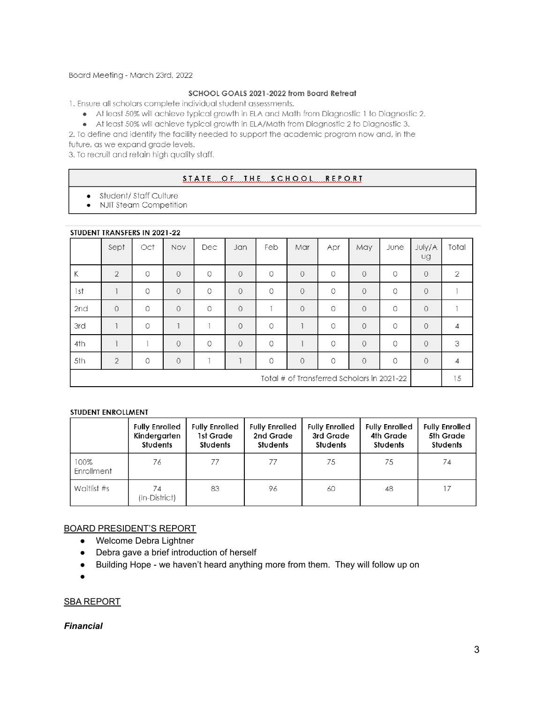#### Board Meeting - March 23rd, 2022

#### SCHOOL GOALS 2021-2022 from Board Retreat

1. Ensure all scholars complete individual student assessments.

- At least 50% will achieve typical growth in ELA and Math from Diagnostic 1 to Diagnostic 2.
- At least 50% will achieve typical growth in ELA/Math from Diagnostic 2 to Diagnostic 3.

2. To define and identify the facility needed to support the academic program now and, in the future, as we expand grade levels.

3. To recruit and retain high quality staff.

#### SIAIE OF IHE SCHOOL REPORT

- Student/Staff Culture
- NJIT Steam Competition

#### STUDENT TRANSFERS IN 2021-22

|                                            | Sept           | Oct     | Nov     | <b>Dec</b> | Jan     | Feb     | Mar            | Apr      | May     | June    | July/A<br>Ug | Total          |
|--------------------------------------------|----------------|---------|---------|------------|---------|---------|----------------|----------|---------|---------|--------------|----------------|
| Κ                                          | $\mathcal{P}$  | 0       | $\circ$ | $\Omega$   | $\circ$ | 0       | $\Omega$       | $\circ$  | $\circ$ | $\circ$ | $\circ$      | 2              |
| 1st                                        |                | $\circ$ | $\circ$ | $\circ$    | $\circ$ | $\circ$ | $\circ$        | $\circ$  | $\circ$ | $\circ$ | $\circ$      |                |
| 2nd                                        | $\circ$        | $\circ$ | $\circ$ | $\circ$    | $\circ$ |         | $\overline{0}$ | $\circ$  | $\circ$ | 0       | $\circ$      |                |
| 3rd                                        |                | 0       |         |            | $\circ$ | $\circ$ |                | $\circ$  | $\circ$ | $\circ$ | $\circ$      | 4              |
| 4th                                        |                |         | $\circ$ | $\Omega$   | $\circ$ | $\circ$ |                | $\circ$  | $\circ$ | $\circ$ | $\circ$      | 3              |
| 5th                                        | $\overline{2}$ | 0       | $\circ$ |            |         | $\circ$ | $\Omega$       | $\Omega$ | $\circ$ | $\circ$ | $\circ$      | $\overline{4}$ |
| Total # of Transferred Scholars in 2021-22 |                |         |         |            |         |         |                | 15       |         |         |              |                |

#### STUDENT ENROLLMENT

|                    | <b>Fully Enrolled</b><br>Kindergarten<br><b>Students</b> | <b>Fully Enrolled</b><br>1st Grade<br>Students | <b>Fully Enrolled</b><br>2nd Grade<br><b>Students</b> | <b>Fully Enrolled</b><br>3rd Grade<br>Students | <b>Fully Enrolled</b><br>4th Grade<br>Students | <b>Fully Enrolled</b><br>5th Grade<br>Students |
|--------------------|----------------------------------------------------------|------------------------------------------------|-------------------------------------------------------|------------------------------------------------|------------------------------------------------|------------------------------------------------|
| 100%<br>Enrollment | 76                                                       | 77                                             | 77                                                    | 75                                             | 75                                             | 74                                             |
| Waitlist #s        | 74<br>(In-District)                                      | 83                                             | 96                                                    | 60                                             | 48                                             |                                                |

### BOARD PRESIDENT'S REPORT

- Welcome Debra Lightner
- Debra gave a brief introduction of herself
- Building Hope we haven't heard anything more from them. They will follow up on
- ●

#### SBA REPORT

#### *Financial*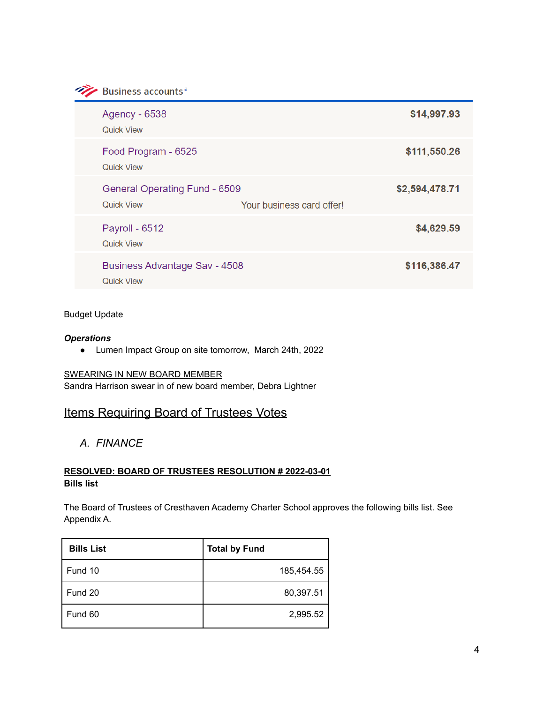| Business accounts <sup>a</sup>                            |                           |                |
|-----------------------------------------------------------|---------------------------|----------------|
| <b>Agency - 6538</b><br><b>Quick View</b>                 |                           | \$14,997.93    |
| Food Program - 6525<br><b>Quick View</b>                  |                           | \$111,550.26   |
| <b>General Operating Fund - 6509</b><br><b>Quick View</b> | Your business card offer! | \$2,594,478.71 |
| Payroll - 6512<br><b>Quick View</b>                       |                           | \$4,629.59     |
| <b>Business Advantage Sav - 4508</b><br><b>Quick View</b> |                           | \$116,386.47   |

# Budget Update

#### *Operations*

● Lumen Impact Group on site tomorrow, March 24th, 2022

#### SWEARING IN NEW BOARD MEMBER

Sandra Harrison swear in of new board member, Debra Lightner

# Items Requiring Board of Trustees Votes

# *A. FINANCE*

# **RESOLVED: BOARD OF TRUSTEES RESOLUTION # 2022-03-01 Bills list**

The Board of Trustees of Cresthaven Academy Charter School approves the following bills list. See Appendix A.

| <b>Bills List</b> | <b>Total by Fund</b> |
|-------------------|----------------------|
| Fund 10           | 185,454.55           |
| Fund 20           | 80,397.51            |
| Fund 60           | 2,995.52             |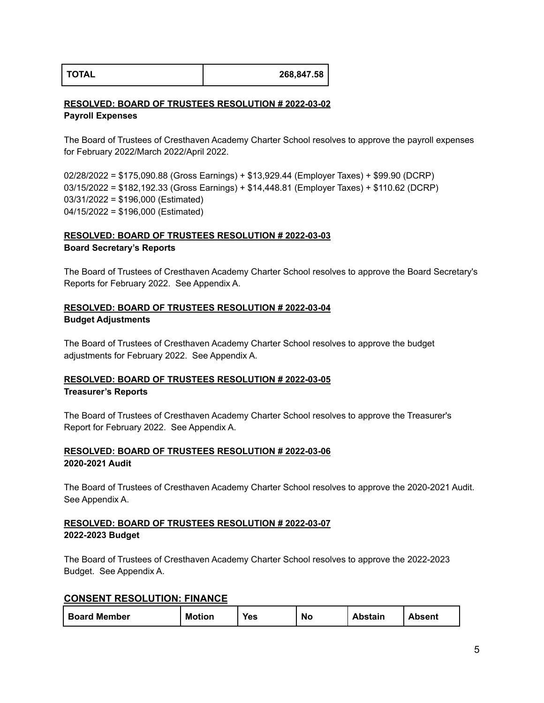| 268,847.58 |
|------------|
|            |

# **RESOLVED: BOARD OF TRUSTEES RESOLUTION # 2022-03-02 Payroll Expenses**

The Board of Trustees of Cresthaven Academy Charter School resolves to approve the payroll expenses for February 2022/March 2022/April 2022.

02/28/2022 = \$175,090.88 (Gross Earnings) + \$13,929.44 (Employer Taxes) + \$99.90 (DCRP) 03/15/2022 = \$182,192.33 (Gross Earnings) + \$14,448.81 (Employer Taxes) + \$110.62 (DCRP) 03/31/2022 = \$196,000 (Estimated) 04/15/2022 = \$196,000 (Estimated)

# **RESOLVED: BOARD OF TRUSTEES RESOLUTION # 2022-03-03 Board Secretary's Reports**

The Board of Trustees of Cresthaven Academy Charter School resolves to approve the Board Secretary's Reports for February 2022. See Appendix A.

# **RESOLVED: BOARD OF TRUSTEES RESOLUTION # 2022-03-04 Budget Adjustments**

The Board of Trustees of Cresthaven Academy Charter School resolves to approve the budget adjustments for February 2022. See Appendix A.

# **RESOLVED: BOARD OF TRUSTEES RESOLUTION # 2022-03-05 Treasurer's Reports**

The Board of Trustees of Cresthaven Academy Charter School resolves to approve the Treasurer's Report for February 2022. See Appendix A.

# **RESOLVED: BOARD OF TRUSTEES RESOLUTION # 2022-03-06 2020-2021 Audit**

The Board of Trustees of Cresthaven Academy Charter School resolves to approve the 2020-2021 Audit. See Appendix A.

# **RESOLVED: BOARD OF TRUSTEES RESOLUTION # 2022-03-07 2022-2023 Budget**

The Board of Trustees of Cresthaven Academy Charter School resolves to approve the 2022-2023 Budget. See Appendix A.

# **CONSENT RESOLUTION: FINANCE**

| <b>Board Member</b> | <b>Motion</b> | Yes | No | <b>Abstain</b> | Absent |
|---------------------|---------------|-----|----|----------------|--------|
|---------------------|---------------|-----|----|----------------|--------|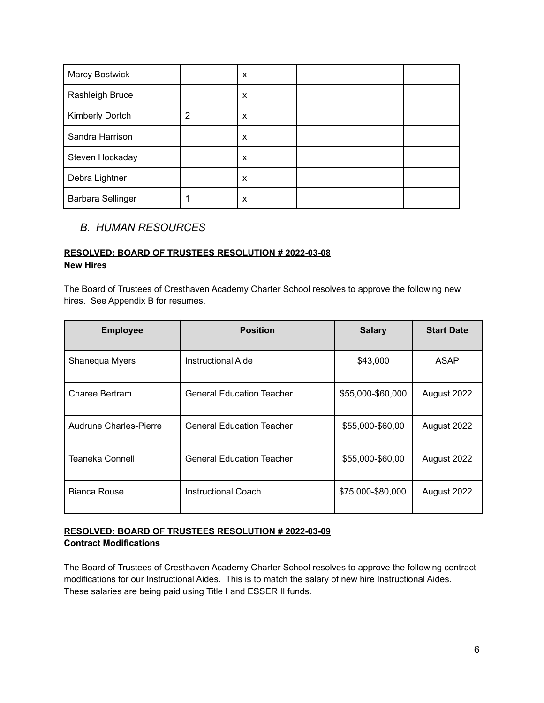| Marcy Bostwick           |   | X |  |  |
|--------------------------|---|---|--|--|
| Rashleigh Bruce          |   | X |  |  |
| Kimberly Dortch          | 2 | X |  |  |
| Sandra Harrison          |   | X |  |  |
| Steven Hockaday          |   | X |  |  |
| Debra Lightner           |   | X |  |  |
| <b>Barbara Sellinger</b> |   | X |  |  |

# *B. HUMAN RESOURCES*

### **RESOLVED: BOARD OF TRUSTEES RESOLUTION # 2022-03-08 New Hires**

The Board of Trustees of Cresthaven Academy Charter School resolves to approve the following new hires. See Appendix B for resumes.

| <b>Employee</b>        | <b>Position</b>                  | <b>Salary</b>     | <b>Start Date</b> |
|------------------------|----------------------------------|-------------------|-------------------|
| Shanequa Myers         | Instructional Aide               | \$43,000          | <b>ASAP</b>       |
| Charee Bertram         | <b>General Education Teacher</b> | \$55,000-\$60,000 | August 2022       |
| Audrune Charles-Pierre | <b>General Education Teacher</b> | \$55,000-\$60,00  | August 2022       |
| Teaneka Connell        | <b>General Education Teacher</b> | \$55,000-\$60,00  | August 2022       |
| Bianca Rouse           | Instructional Coach              | \$75,000-\$80,000 | August 2022       |

# **RESOLVED: BOARD OF TRUSTEES RESOLUTION # 2022-03-09 Contract Modifications**

The Board of Trustees of Cresthaven Academy Charter School resolves to approve the following contract modifications for our Instructional Aides. This is to match the salary of new hire Instructional Aides. These salaries are being paid using Title I and ESSER II funds.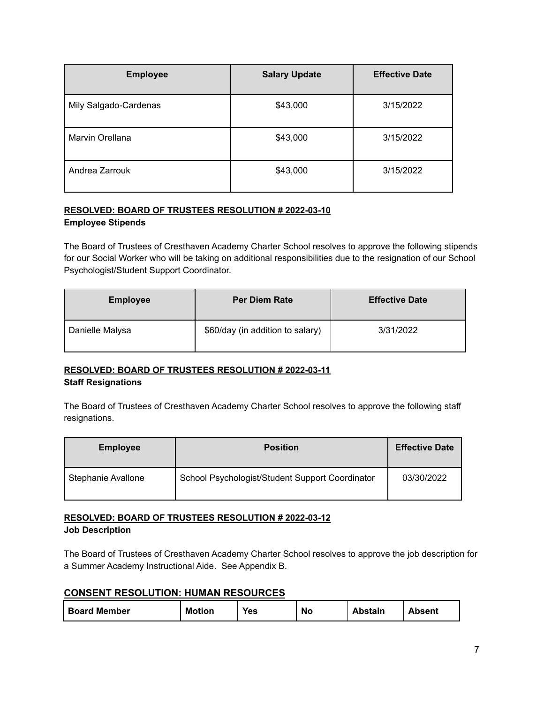| <b>Employee</b>       | <b>Salary Update</b> | <b>Effective Date</b> |
|-----------------------|----------------------|-----------------------|
| Mily Salgado-Cardenas | \$43,000             | 3/15/2022             |
| Marvin Orellana       | \$43,000             | 3/15/2022             |
| Andrea Zarrouk        | \$43,000             | 3/15/2022             |

# **RESOLVED: BOARD OF TRUSTEES RESOLUTION # 2022-03-10 Employee Stipends**

The Board of Trustees of Cresthaven Academy Charter School resolves to approve the following stipends for our Social Worker who will be taking on additional responsibilities due to the resignation of our School Psychologist/Student Support Coordinator.

| <b>Employee</b> | <b>Per Diem Rate</b>             | <b>Effective Date</b> |
|-----------------|----------------------------------|-----------------------|
| Danielle Malysa | \$60/day (in addition to salary) | 3/31/2022             |

# **RESOLVED: BOARD OF TRUSTEES RESOLUTION # 2022-03-11 Staff Resignations**

The Board of Trustees of Cresthaven Academy Charter School resolves to approve the following staff resignations.

| <b>Employee</b>    | <b>Position</b>                                 | <b>Effective Date</b> |
|--------------------|-------------------------------------------------|-----------------------|
| Stephanie Avallone | School Psychologist/Student Support Coordinator | 03/30/2022            |

# **RESOLVED: BOARD OF TRUSTEES RESOLUTION # 2022-03-12 Job Description**

The Board of Trustees of Cresthaven Academy Charter School resolves to approve the job description for a Summer Academy Instructional Aide. See Appendix B.

# **CONSENT RESOLUTION: HUMAN RESOURCES**

| <b>Motion</b><br><b>Board Member</b> | Yes | No | <b>Abstain</b> | <b>Absent</b> |
|--------------------------------------|-----|----|----------------|---------------|
|--------------------------------------|-----|----|----------------|---------------|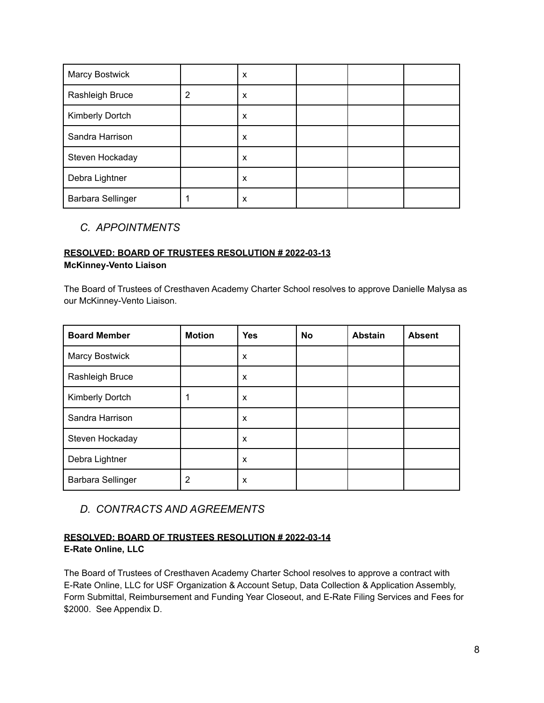| Marcy Bostwick           |   | X |  |  |
|--------------------------|---|---|--|--|
| Rashleigh Bruce          | 2 | X |  |  |
| Kimberly Dortch          |   | X |  |  |
| Sandra Harrison          |   | X |  |  |
| Steven Hockaday          |   | X |  |  |
| Debra Lightner           |   | X |  |  |
| <b>Barbara Sellinger</b> |   | X |  |  |

# *C. APPOINTMENTS*

# **RESOLVED: BOARD OF TRUSTEES RESOLUTION # 2022-03-13 McKinney-Vento Liaison**

The Board of Trustees of Cresthaven Academy Charter School resolves to approve Danielle Malysa as our McKinney-Vento Liaison.

| <b>Board Member</b>      | <b>Motion</b> | <b>Yes</b>                | <b>No</b> | <b>Abstain</b> | <b>Absent</b> |
|--------------------------|---------------|---------------------------|-----------|----------------|---------------|
| <b>Marcy Bostwick</b>    |               | X                         |           |                |               |
| Rashleigh Bruce          |               | X                         |           |                |               |
| Kimberly Dortch          |               | $\boldsymbol{\mathsf{x}}$ |           |                |               |
| Sandra Harrison          |               | X                         |           |                |               |
| Steven Hockaday          |               | X                         |           |                |               |
| Debra Lightner           |               | X                         |           |                |               |
| <b>Barbara Sellinger</b> | 2             | X                         |           |                |               |

# *D. CONTRACTS AND AGREEMENTS*

# **RESOLVED: BOARD OF TRUSTEES RESOLUTION # 2022-03-14 E-Rate Online, LLC**

The Board of Trustees of Cresthaven Academy Charter School resolves to approve a contract with E-Rate Online, LLC for USF Organization & Account Setup, Data Collection & Application Assembly, Form Submittal, Reimbursement and Funding Year Closeout, and E-Rate Filing Services and Fees for \$2000. See Appendix D.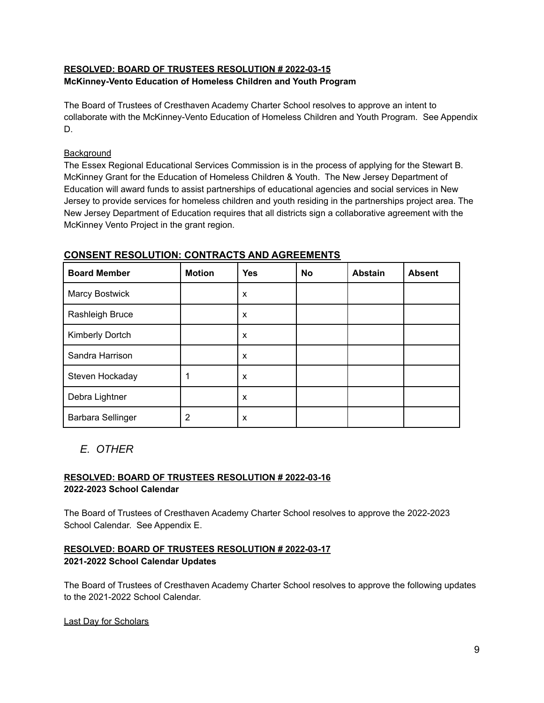# **RESOLVED: BOARD OF TRUSTEES RESOLUTION # 2022-03-15 McKinney-Vento Education of Homeless Children and Youth Program**

The Board of Trustees of Cresthaven Academy Charter School resolves to approve an intent to collaborate with the McKinney-Vento Education of Homeless Children and Youth Program. See Appendix D.

# **Background**

The Essex Regional Educational Services Commission is in the process of applying for the Stewart B. McKinney Grant for the Education of Homeless Children & Youth. The New Jersey Department of Education will award funds to assist partnerships of educational agencies and social services in New Jersey to provide services for homeless children and youth residing in the partnerships project area. The New Jersey Department of Education requires that all districts sign a collaborative agreement with the McKinney Vento Project in the grant region.

| <b>Board Member</b>      | <b>Motion</b> | <b>Yes</b> | <b>No</b> | <b>Abstain</b> | <b>Absent</b> |
|--------------------------|---------------|------------|-----------|----------------|---------------|
| <b>Marcy Bostwick</b>    |               | X          |           |                |               |
| Rashleigh Bruce          |               | X          |           |                |               |
| Kimberly Dortch          |               | X          |           |                |               |
| Sandra Harrison          |               | X          |           |                |               |
| Steven Hockaday          |               | X          |           |                |               |
| Debra Lightner           |               | X          |           |                |               |
| <b>Barbara Sellinger</b> | 2             | X          |           |                |               |

# **CONSENT RESOLUTION: CONTRACTS AND AGREEMENTS**

# *E. OTHER*

### **RESOLVED: BOARD OF TRUSTEES RESOLUTION # 2022-03-16 2022-2023 School Calendar**

The Board of Trustees of Cresthaven Academy Charter School resolves to approve the 2022-2023 School Calendar. See Appendix E.

# **RESOLVED: BOARD OF TRUSTEES RESOLUTION # 2022-03-17 2021-2022 School Calendar Updates**

The Board of Trustees of Cresthaven Academy Charter School resolves to approve the following updates to the 2021-2022 School Calendar.

### Last Day for Scholars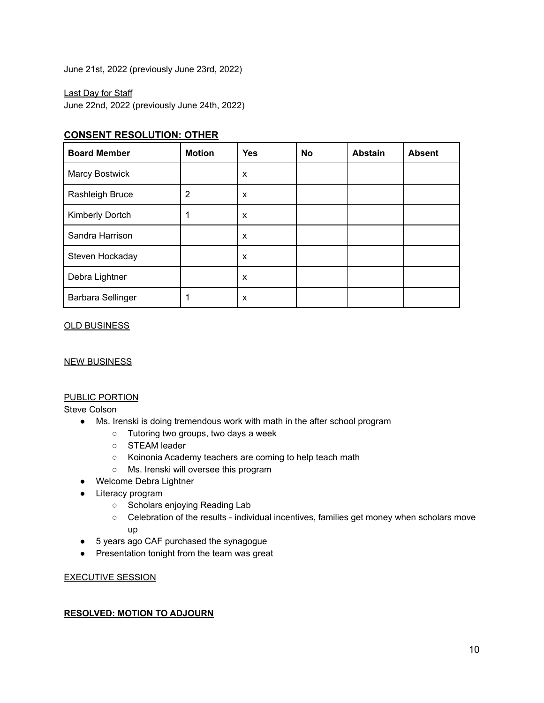June 21st, 2022 (previously June 23rd, 2022)

### **Last Day for Staff**

June 22nd, 2022 (previously June 24th, 2022)

# **CONSENT RESOLUTION: OTHER**

| <b>Board Member</b>      | <b>Motion</b> | <b>Yes</b> | <b>No</b> | <b>Abstain</b> | <b>Absent</b> |
|--------------------------|---------------|------------|-----------|----------------|---------------|
| <b>Marcy Bostwick</b>    |               | X          |           |                |               |
| Rashleigh Bruce          | 2             | X          |           |                |               |
| Kimberly Dortch          |               | X          |           |                |               |
| Sandra Harrison          |               | X          |           |                |               |
| Steven Hockaday          |               | X          |           |                |               |
| Debra Lightner           |               | X          |           |                |               |
| <b>Barbara Sellinger</b> |               | X          |           |                |               |

### OLD BUSINESS

### NEW BUSINESS

# PUBLIC PORTION

Steve Colson

- Ms. Irenski is doing tremendous work with math in the after school program
	- Tutoring two groups, two days a week
	- STEAM leader
	- Koinonia Academy teachers are coming to help teach math
	- Ms. Irenski will oversee this program
- Welcome Debra Lightner
- Literacy program
	- Scholars enjoying Reading Lab
	- Celebration of the results individual incentives, families get money when scholars move up
- 5 years ago CAF purchased the synagogue
- Presentation tonight from the team was great

### EXECUTIVE SESSION

### **RESOLVED: MOTION TO ADJOURN**